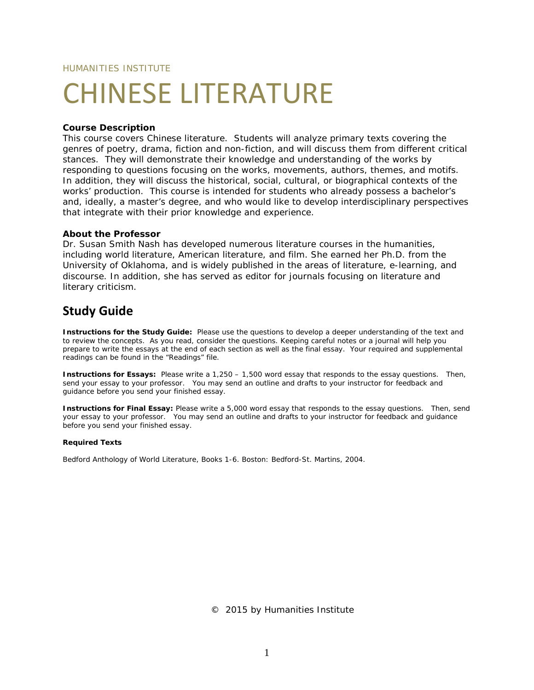HUMANITIES INSTITUTE

# CHINESE LITERATURE

### **Course Description**

This course covers Chinese literature. Students will analyze primary texts covering the genres of poetry, drama, fiction and non-fiction, and will discuss them from different critical stances. They will demonstrate their knowledge and understanding of the works by responding to questions focusing on the works, movements, authors, themes, and motifs. In addition, they will discuss the historical, social, cultural, or biographical contexts of the works' production. This course is intended for students who already possess a bachelor's and, ideally, a master's degree, and who would like to develop interdisciplinary perspectives that integrate with their prior knowledge and experience.

#### **About the Professor**

Dr. Susan Smith Nash has developed numerous literature courses in the humanities, including world literature, American literature, and film. She earned her Ph.D. from the University of Oklahoma, and is widely published in the areas of literature, e-learning, and discourse. In addition, she has served as editor for journals focusing on literature and literary criticism.

## **Study Guide**

**Instructions for the Study Guide:** Please use the questions to develop a deeper understanding of the text and to review the concepts. As you read, consider the questions. Keeping careful notes or a journal will help you prepare to write the essays at the end of each section as well as the final essay. Your required and supplemental readings can be found in the "Readings" file.

**Instructions for Essays:** Please write a 1,250 – 1,500 word essay that responds to the essay questions. Then, send your essay to your professor. You may send an outline and drafts to your instructor for feedback and guidance before you send your finished essay.

**Instructions for Final Essay:** Please write a 5,000 word essay that responds to the essay questions. Then, send your essay to your professor. You may send an outline and drafts to your instructor for feedback and guidance before you send your finished essay.

#### **Required Texts**

Bedford Anthology of World Literature, Books 1-6. Boston: Bedford-St. Martins, 2004.

© 2015 by Humanities Institute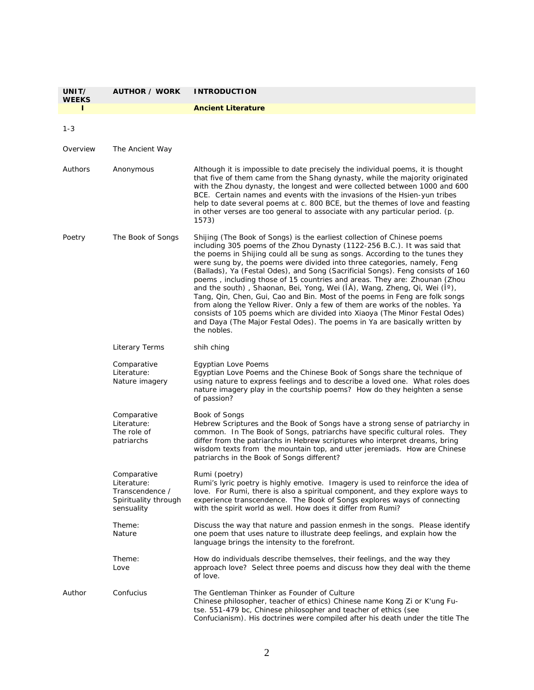| UNIT/<br><b>WEEKS</b> | <b>AUTHOR / WORK</b>                                                                | <b>INTRODUCTION</b>                                                                                                                                                                                                                                                                                                                                                                                                                                                                                                                                                                                                                                                                                                                                                                                                                                                                                    |
|-----------------------|-------------------------------------------------------------------------------------|--------------------------------------------------------------------------------------------------------------------------------------------------------------------------------------------------------------------------------------------------------------------------------------------------------------------------------------------------------------------------------------------------------------------------------------------------------------------------------------------------------------------------------------------------------------------------------------------------------------------------------------------------------------------------------------------------------------------------------------------------------------------------------------------------------------------------------------------------------------------------------------------------------|
| п                     |                                                                                     | <b>Ancient Literature</b>                                                                                                                                                                                                                                                                                                                                                                                                                                                                                                                                                                                                                                                                                                                                                                                                                                                                              |
| $1 - 3$               |                                                                                     |                                                                                                                                                                                                                                                                                                                                                                                                                                                                                                                                                                                                                                                                                                                                                                                                                                                                                                        |
| Overview              | The Ancient Way                                                                     |                                                                                                                                                                                                                                                                                                                                                                                                                                                                                                                                                                                                                                                                                                                                                                                                                                                                                                        |
| Authors               | Anonymous                                                                           | Although it is impossible to date precisely the individual poems, it is thought<br>that five of them came from the Shang dynasty, while the majority originated<br>with the Zhou dynasty, the longest and were collected between 1000 and 600<br>BCE. Certain names and events with the invasions of the Hsien-yun tribes<br>help to date several poems at c. 800 BCE, but the themes of love and feasting<br>in other verses are too general to associate with any particular period. (p.<br>1573)                                                                                                                                                                                                                                                                                                                                                                                                    |
| Poetry                | The Book of Songs                                                                   | Shijing (The Book of Songs) is the earliest collection of Chinese poems<br>including 305 poems of the Zhou Dynasty (1122-256 B.C.). It was said that<br>the poems in Shijing could all be sung as songs. According to the tunes they<br>were sung by, the poems were divided into three categories, namely, Feng<br>(Ballads), Ya (Festal Odes), and Song (Sacrificial Songs). Feng consists of 160<br>poems, including those of 15 countries and areas. They are: Zhounan (Zhou<br>and the south), Shaonan, Bei, Yong, Wei (IA), Wang, Zheng, Qi, Wei (I°),<br>Tang, Qin, Chen, Gui, Cao and Bin. Most of the poems in Feng are folk songs<br>from along the Yellow River. Only a few of them are works of the nobles. Ya<br>consists of 105 poems which are divided into Xiaoya (The Minor Festal Odes)<br>and Daya (The Major Festal Odes). The poems in Ya are basically written by<br>the nobles. |
|                       | <b>Literary Terms</b>                                                               | shih ching                                                                                                                                                                                                                                                                                                                                                                                                                                                                                                                                                                                                                                                                                                                                                                                                                                                                                             |
|                       | Comparative<br>Literature:<br>Nature imagery                                        | Egyptian Love Poems<br>Egyptian Love Poems and the Chinese Book of Songs share the technique of<br>using nature to express feelings and to describe a loved one. What roles does<br>nature imagery play in the courtship poems? How do they heighten a sense<br>of passion?                                                                                                                                                                                                                                                                                                                                                                                                                                                                                                                                                                                                                            |
|                       | Comparative<br>Literature:<br>The role of<br>patriarchs                             | <b>Book of Songs</b><br>Hebrew Scriptures and the <i>Book of Songs</i> have a strong sense of patriarchy in<br>common. In The Book of Songs, patriarchs have specific cultural roles. They<br>differ from the patriarchs in Hebrew scriptures who interpret dreams, bring<br>wisdom texts from the mountain top, and utter jeremiads. How are Chinese<br>patriarchs in the Book of Songs different?                                                                                                                                                                                                                                                                                                                                                                                                                                                                                                    |
|                       | Comparative<br>Literature:<br>Transcendence /<br>Spirituality through<br>sensuality | Rumi (poetry)<br>Rumi's lyric poetry is highly emotive. Imagery is used to reinforce the idea of<br>love. For Rumi, there is also a spiritual component, and they explore ways to<br>experience transcendence. The Book of Songs explores ways of connecting<br>with the spirit world as well. How does it differ from Rumi?                                                                                                                                                                                                                                                                                                                                                                                                                                                                                                                                                                           |
|                       | Theme:<br>Nature                                                                    | Discuss the way that nature and passion enmesh in the songs. Please identify<br>one poem that uses nature to illustrate deep feelings, and explain how the<br>language brings the intensity to the forefront.                                                                                                                                                                                                                                                                                                                                                                                                                                                                                                                                                                                                                                                                                          |
|                       | Theme:<br>Love                                                                      | How do individuals describe themselves, their feelings, and the way they<br>approach love? Select three poems and discuss how they deal with the theme<br>of love.                                                                                                                                                                                                                                                                                                                                                                                                                                                                                                                                                                                                                                                                                                                                     |
| Author                | Confucius                                                                           | The Gentleman Thinker as Founder of Culture<br>Chinese philosopher, teacher of ethics) Chinese name Kong Zi or K'ung Fu-<br>tse. 551-479 bc, Chinese philosopher and teacher of ethics (see<br>Confucianism). His doctrines were compiled after his death under the title The                                                                                                                                                                                                                                                                                                                                                                                                                                                                                                                                                                                                                          |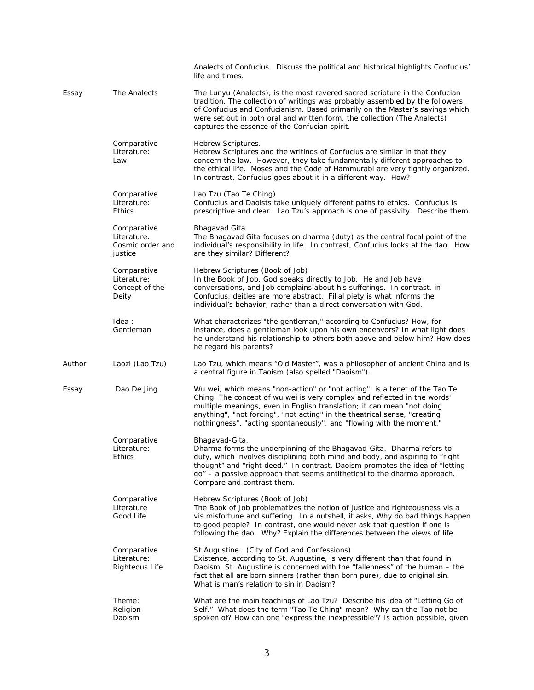|        |                                                           | Analects of Confucius. Discuss the political and historical highlights Confucius'<br>life and times.                                                                                                                                                                                                                                                                                  |
|--------|-----------------------------------------------------------|---------------------------------------------------------------------------------------------------------------------------------------------------------------------------------------------------------------------------------------------------------------------------------------------------------------------------------------------------------------------------------------|
| Essay  | The Analects                                              | The Lunyu (Analects), is the most revered sacred scripture in the Confucian<br>tradition. The collection of writings was probably assembled by the followers<br>of Confucius and Confucianism. Based primarily on the Master's sayings which<br>were set out in both oral and written form, the collection (The Analects)<br>captures the essence of the Confucian spirit.            |
|        | Comparative<br>Literature:<br>Law                         | Hebrew Scriptures.<br>Hebrew Scriptures and the writings of Confucius are similar in that they<br>concern the law. However, they take fundamentally different approaches to<br>the ethical life. Moses and the Code of Hammurabi are very tightly organized.<br>In contrast, Confucius goes about it in a different way. How?                                                         |
|        | Comparative<br>Literature:<br><b>Ethics</b>               | Lao Tzu (Tao Te Ching)<br>Confucius and Daoists take uniquely different paths to ethics. Confucius is<br>prescriptive and clear. Lao Tzu's approach is one of passivity. Describe them.                                                                                                                                                                                               |
|        | Comparative<br>Literature:<br>Cosmic order and<br>justice | Bhagavad Gita<br>The Bhagavad Gita focuses on dharma (duty) as the central focal point of the<br>individual's responsibility in life. In contrast, Confucius looks at the dao. How<br>are they similar? Different?                                                                                                                                                                    |
|        | Comparative<br>Literature:<br>Concept of the<br>Deity     | Hebrew Scriptures (Book of Job)<br>In the Book of Job, God speaks directly to Job. He and Job have<br>conversations, and Job complains about his sufferings. In contrast, in<br>Confucius, deities are more abstract. Filial piety is what informs the<br>individual's behavior, rather than a direct conversation with God.                                                          |
|        | Idea:<br>Gentleman                                        | What characterizes "the gentleman," according to Confucius? How, for<br>instance, does a gentleman look upon his own endeavors? In what light does<br>he understand his relationship to others both above and below him? How does<br>he regard his parents?                                                                                                                           |
| Author | Laozi (Lao Tzu)                                           | Lao Tzu, which means "Old Master", was a philosopher of ancient China and is<br>a central figure in Taoism (also spelled "Daoism").                                                                                                                                                                                                                                                   |
| Essay  | Dao De Jing                                               | Wu wei, which means "non-action" or "not acting", is a tenet of the Tao Te<br>Ching. The concept of wu wei is very complex and reflected in the words'<br>multiple meanings, even in English translation; it can mean "not doing<br>anything", "not forcing", "not acting" in the theatrical sense, "creating<br>nothingness", "acting spontaneously", and "flowing with the moment." |
|        | Comparative<br>Literature:<br><b>Ethics</b>               | Bhagavad-Gita.<br>Dharma forms the underpinning of the Bhagavad-Gita. Dharma refers to<br>duty, which involves disciplining both mind and body, and aspiring to "right<br>thought" and "right deed." In contrast, Daoism promotes the idea of "letting<br>go" - a passive approach that seems antithetical to the dharma approach.<br>Compare and contrast them.                      |
|        | Comparative<br>Literature<br>Good Life                    | Hebrew Scriptures (Book of Job)<br>The Book of Job problematizes the notion of justice and righteousness vis a<br>vis misfortune and suffering. In a nutshell, it asks, Why do bad things happen<br>to good people? In contrast, one would never ask that question if one is<br>following the dao. Why? Explain the differences between the views of life.                            |
|        | Comparative<br>Literature:<br><b>Righteous Life</b>       | St Augustine. (City of God and Confessions)<br>Existence, according to St. Augustine, is very different than that found in<br>Daoism. St. Augustine is concerned with the "fallenness" of the human - the<br>fact that all are born sinners (rather than born pure), due to original sin.<br>What is man's relation to sin in Daoism?                                                 |
|        | Theme:<br>Religion<br>Daoism                              | What are the main teachings of Lao Tzu? Describe his idea of "Letting Go of<br>Self." What does the term "Tao Te Ching" mean? Why can the Tao not be<br>spoken of? How can one "express the inexpressible"? Is action possible, given                                                                                                                                                 |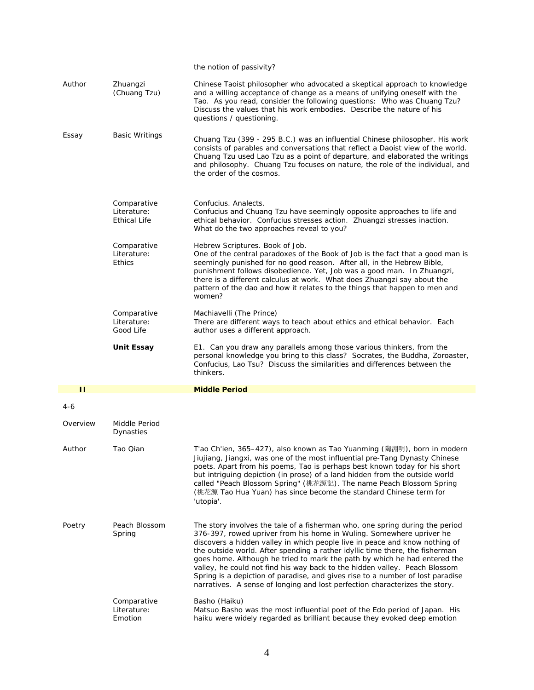|          |                                                   | the notion of passivity?                                                                                                                                                                                                                                                                                                                                                                                                                                                                                                                                                                                                                        |
|----------|---------------------------------------------------|-------------------------------------------------------------------------------------------------------------------------------------------------------------------------------------------------------------------------------------------------------------------------------------------------------------------------------------------------------------------------------------------------------------------------------------------------------------------------------------------------------------------------------------------------------------------------------------------------------------------------------------------------|
| Author   | Zhuangzi<br>(Chuang Tzu)                          | Chinese Taoist philosopher who advocated a skeptical approach to knowledge<br>and a willing acceptance of change as a means of unifying oneself with the<br>Tao. As you read, consider the following questions: Who was Chuang Tzu?<br>Discuss the values that his work embodies. Describe the nature of his<br>questions / questioning.                                                                                                                                                                                                                                                                                                        |
| Essay    | <b>Basic Writings</b>                             | Chuang Tzu (399 - 295 B.C.) was an influential Chinese philosopher. His work<br>consists of parables and conversations that reflect a Daoist view of the world.<br>Chuang Tzu used Lao Tzu as a point of departure, and elaborated the writings<br>and philosophy. Chuang Tzu focuses on nature, the role of the individual, and<br>the order of the cosmos.                                                                                                                                                                                                                                                                                    |
|          | Comparative<br>Literature:<br><b>Ethical Life</b> | Confucius. Analects.<br>Confucius and Chuang Tzu have seemingly opposite approaches to life and<br>ethical behavior. Confucius stresses action. Zhuangzi stresses inaction.<br>What do the two approaches reveal to you?                                                                                                                                                                                                                                                                                                                                                                                                                        |
|          | Comparative<br>Literature:<br><b>Ethics</b>       | Hebrew Scriptures. Book of Job.<br>One of the central paradoxes of the Book of Job is the fact that a good man is<br>seemingly punished for no good reason. After all, in the Hebrew Bible,<br>punishment follows disobedience. Yet, Job was a good man. In Zhuangzi,<br>there is a different calculus at work. What does Zhuangzi say about the<br>pattern of the dao and how it relates to the things that happen to men and<br>women?                                                                                                                                                                                                        |
|          | Comparative<br>Literature:<br>Good Life           | Machiavelli (The Prince)<br>There are different ways to teach about ethics and ethical behavior. Each<br>author uses a different approach.                                                                                                                                                                                                                                                                                                                                                                                                                                                                                                      |
|          | <b>Unit Essay</b>                                 | E1. Can you draw any parallels among those various thinkers, from the<br>personal knowledge you bring to this class? Socrates, the Buddha, Zoroaster,<br>Confucius, Lao Tsu? Discuss the similarities and differences between the<br>thinkers.                                                                                                                                                                                                                                                                                                                                                                                                  |
| п        |                                                   | <b>Middle Period</b>                                                                                                                                                                                                                                                                                                                                                                                                                                                                                                                                                                                                                            |
| $4-6$    |                                                   |                                                                                                                                                                                                                                                                                                                                                                                                                                                                                                                                                                                                                                                 |
| Overview | Middle Period<br>Dynasties                        |                                                                                                                                                                                                                                                                                                                                                                                                                                                                                                                                                                                                                                                 |
| Author   | Tao Qian                                          | T'ao Ch'ien, 365-427), also known as Tao Yuanming (陶淵明), born in modern<br>Jiujiang, Jiangxi, was one of the most influential pre-Tang Dynasty Chinese<br>poets. Apart from his poems, Tao is perhaps best known today for his short<br>but intriguing depiction (in prose) of a land hidden from the outside world<br>called "Peach Blossom Spring" (桃花源記). The name Peach Blossom Spring<br>(桃花源 Tao Hua Yuan) has since become the standard Chinese term for<br>'utopia'.                                                                                                                                                                    |
| Poetry   | Peach Blossom<br>Spring                           | The story involves the tale of a fisherman who, one spring during the period<br>376-397, rowed upriver from his home in Wuling. Somewhere upriver he<br>discovers a hidden valley in which people live in peace and know nothing of<br>the outside world. After spending a rather idyllic time there, the fisherman<br>goes home. Although he tried to mark the path by which he had entered the<br>valley, he could not find his way back to the hidden valley. Peach Blossom<br>Spring is a depiction of paradise, and gives rise to a number of lost paradise<br>narratives. A sense of longing and lost perfection characterizes the story. |
|          | Comparative<br>Literature:<br>Emotion             | Basho (Haiku)<br>Matsuo Basho was the most influential poet of the Edo period of Japan. His<br>haiku were widely regarded as brilliant because they evoked deep emotion                                                                                                                                                                                                                                                                                                                                                                                                                                                                         |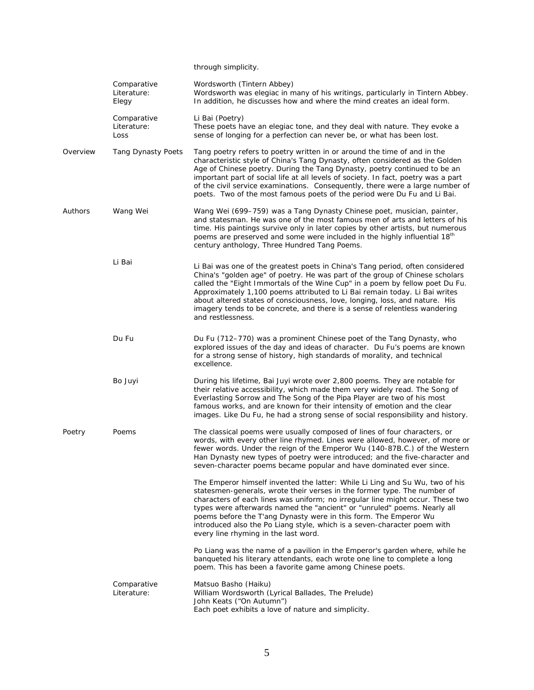|          |                                     | through simplicity.                                                                                                                                                                                                                                                                                                                                                                                                                                                                                            |
|----------|-------------------------------------|----------------------------------------------------------------------------------------------------------------------------------------------------------------------------------------------------------------------------------------------------------------------------------------------------------------------------------------------------------------------------------------------------------------------------------------------------------------------------------------------------------------|
|          | Comparative<br>Literature:<br>Elegy | Wordsworth (Tintern Abbey)<br>Wordsworth was elegiac in many of his writings, particularly in Tintern Abbey.<br>In addition, he discusses how and where the mind creates an ideal form.                                                                                                                                                                                                                                                                                                                        |
|          | Comparative<br>Literature:<br>Loss  | Li Bai (Poetry)<br>These poets have an elegiac tone, and they deal with nature. They evoke a<br>sense of longing for a perfection can never be, or what has been lost.                                                                                                                                                                                                                                                                                                                                         |
| Overview | <b>Tang Dynasty Poets</b>           | Tang poetry refers to poetry written in or around the time of and in the<br>characteristic style of China's Tang Dynasty, often considered as the Golden<br>Age of Chinese poetry. During the Tang Dynasty, poetry continued to be an<br>important part of social life at all levels of society. In fact, poetry was a part<br>of the civil service examinations. Consequently, there were a large number of<br>poets. Two of the most famous poets of the period were Du Fu and Li Bai.                       |
| Authors  | Wang Wei                            | Wang Wei (699-759) was a Tang Dynasty Chinese poet, musician, painter,<br>and statesman. He was one of the most famous men of arts and letters of his<br>time. His paintings survive only in later copies by other artists, but numerous<br>poems are preserved and some were included in the highly influential 18 <sup>th</sup><br>century anthology, Three Hundred Tang Poems.                                                                                                                              |
|          | Li Bai                              | Li Bai was one of the greatest poets in China's Tang period, often considered<br>China's "golden age" of poetry. He was part of the group of Chinese scholars<br>called the "Eight Immortals of the Wine Cup" in a poem by fellow poet Du Fu.<br>Approximately 1,100 poems attributed to Li Bai remain today. Li Bai writes<br>about altered states of consciousness, love, longing, loss, and nature. His<br>imagery tends to be concrete, and there is a sense of relentless wandering<br>and restlessness.  |
|          | Du Fu                               | Du Fu (712-770) was a prominent Chinese poet of the Tang Dynasty, who<br>explored issues of the day and ideas of character. Du Fu's poems are known<br>for a strong sense of history, high standards of morality, and technical<br>excellence.                                                                                                                                                                                                                                                                 |
|          | Bo Juyi                             | During his lifetime, Bai Juyi wrote over 2,800 poems. They are notable for<br>their relative accessibility, which made them very widely read. The Song of<br>Everlasting Sorrow and The Song of the Pipa Player are two of his most<br>famous works, and are known for their intensity of emotion and the clear<br>images. Like Du Fu, he had a strong sense of social responsibility and history.                                                                                                             |
| Poetry   | Poems                               | The classical poems were usually composed of lines of four characters, or<br>words, with every other line rhymed. Lines were allowed, however, of more or<br>fewer words. Under the reign of the Emperor Wu (140-87B.C.) of the Western<br>Han Dynasty new types of poetry were introduced; and the five-character and<br>seven-character poems became popular and have dominated ever since.                                                                                                                  |
|          |                                     | The Emperor himself invented the latter: While Li Ling and Su Wu, two of his<br>statesmen-generals, wrote their verses in the former type. The number of<br>characters of each lines was uniform; no irregular line might occur. These two<br>types were afterwards named the "ancient" or "unruled" poems. Nearly all<br>poems before the T'ang Dynasty were in this form. The Emperor Wu<br>introduced also the Po Liang style, which is a seven-character poem with<br>every line rhyming in the last word. |
|          |                                     | Po Liang was the name of a pavilion in the Emperor's garden where, while he<br>banqueted his literary attendants, each wrote one line to complete a long<br>poem. This has been a favorite game among Chinese poets.                                                                                                                                                                                                                                                                                           |
|          | Comparative<br>Literature:          | Matsuo Basho (Haiku)<br>William Wordsworth (Lyrical Ballades, The Prelude)<br>John Keats ("On Autumn")<br>Each poet exhibits a love of nature and simplicity.                                                                                                                                                                                                                                                                                                                                                  |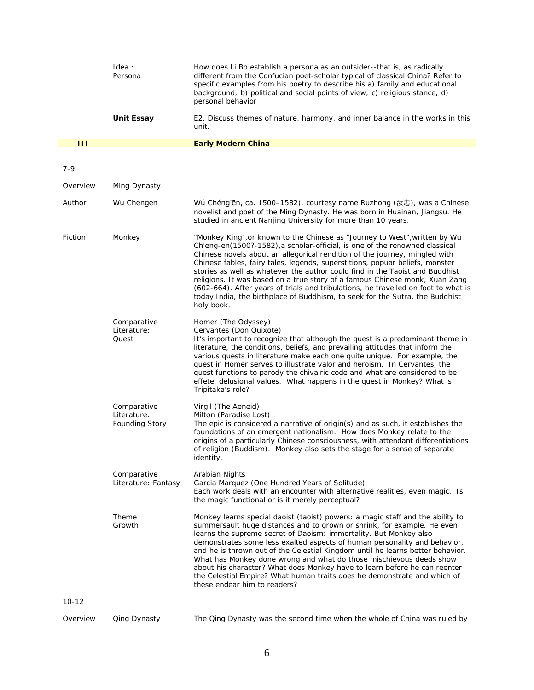|          | Idea:<br>Persona                                    | How does Li Bo establish a persona as an outsider--that is, as radically<br>different from the Confucian poet-scholar typical of classical China? Refer to<br>specific examples from his poetry to describe his a) family and educational<br>background; b) political and social points of view; c) religious stance; d)<br>personal behavior                                                                                                                                                                                                                                                                                                                              |
|----------|-----------------------------------------------------|----------------------------------------------------------------------------------------------------------------------------------------------------------------------------------------------------------------------------------------------------------------------------------------------------------------------------------------------------------------------------------------------------------------------------------------------------------------------------------------------------------------------------------------------------------------------------------------------------------------------------------------------------------------------------|
|          | <b>Unit Essay</b>                                   | E2. Discuss themes of nature, harmony, and inner balance in the works in this<br>unit.                                                                                                                                                                                                                                                                                                                                                                                                                                                                                                                                                                                     |
| Ш        |                                                     | <b>Early Modern China</b>                                                                                                                                                                                                                                                                                                                                                                                                                                                                                                                                                                                                                                                  |
| $7 - 9$  |                                                     |                                                                                                                                                                                                                                                                                                                                                                                                                                                                                                                                                                                                                                                                            |
| Overview | Ming Dynasty                                        |                                                                                                                                                                                                                                                                                                                                                                                                                                                                                                                                                                                                                                                                            |
| Author   | Wu Chengen                                          | Wú Chéng'ēn, ca. 1500–1582), courtesy name Ruzhong (汝忠), was a Chinese<br>novelist and poet of the Ming Dynasty. He was born in Huainan, Jiangsu. He<br>studied in ancient Nanjing University for more than 10 years.                                                                                                                                                                                                                                                                                                                                                                                                                                                      |
| Fiction  | Monkey                                              | "Monkey King", or known to the Chinese as "Journey to West", written by Wu<br>Ch'eng-en(1500?-1582), a scholar-official, is one of the renowned classical<br>Chinese novels about an allegorical rendition of the journey, mingled with<br>Chinese fables, fairy tales, legends, superstitions, popuar beliefs, monster<br>stories as well as whatever the author could find in the Taoist and Buddhist<br>religions. It was based on a true story of a famous Chinese monk, Xuan Zang<br>(602-664). After years of trials and tribulations, he travelled on foot to what is<br>today India, the birthplace of Buddhism, to seek for the Sutra, the Buddhist<br>holy book. |
|          | Comparative<br>Literature:<br>Quest                 | Homer (The Odyssey)<br>Cervantes (Don Quixote)<br>It's important to recognize that although the quest is a predominant theme in<br>literature, the conditions, beliefs, and prevailing attitudes that inform the<br>various quests in literature make each one quite unique. For example, the<br>quest in Homer serves to illustrate valor and heroism. In Cervantes, the<br>quest functions to parody the chivalric code and what are considered to be<br>effete, delusional values. What happens in the quest in Monkey? What is<br>Tripitaka's role?                                                                                                                    |
|          | Comparative<br>Literature:<br><b>Founding Story</b> | Virgil (The Aeneid)<br>Milton (Paradise Lost)<br>The epic is considered a narrative of origin(s) and as such, it establishes the<br>foundations of an emergent nationalism. How does Monkey relate to the<br>origins of a particularly Chinese consciousness, with attendant differentiations<br>of religion (Buddism). Monkey also sets the stage for a sense of separate<br>identity.                                                                                                                                                                                                                                                                                    |
|          | Comparative<br>Literature: Fantasy                  | Arabian Nights<br>Garcia Marquez (One Hundred Years of Solitude)<br>Each work deals with an encounter with alternative realities, even magic. Is<br>the magic functional or is it merely perceptual?                                                                                                                                                                                                                                                                                                                                                                                                                                                                       |
|          | Theme<br>Growth                                     | Monkey learns special daoist (taoist) powers: a magic staff and the ability to<br>summersault huge distances and to grown or shrink, for example. He even<br>learns the supreme secret of Daoism: immortality. But Monkey also<br>demonstrates some less exalted aspects of human personality and behavior,<br>and he is thrown out of the Celestial Kingdom until he learns better behavior.<br>What has Monkey done wrong and what do those mischievous deeds show<br>about his character? What does Monkey have to learn before he can reenter<br>the Celestial Empire? What human traits does he demonstrate and which of<br>these endear him to readers?              |
| $10-12$  |                                                     |                                                                                                                                                                                                                                                                                                                                                                                                                                                                                                                                                                                                                                                                            |
| Overview | Qing Dynasty                                        | The Qing Dynasty was the second time when the whole of China was ruled by                                                                                                                                                                                                                                                                                                                                                                                                                                                                                                                                                                                                  |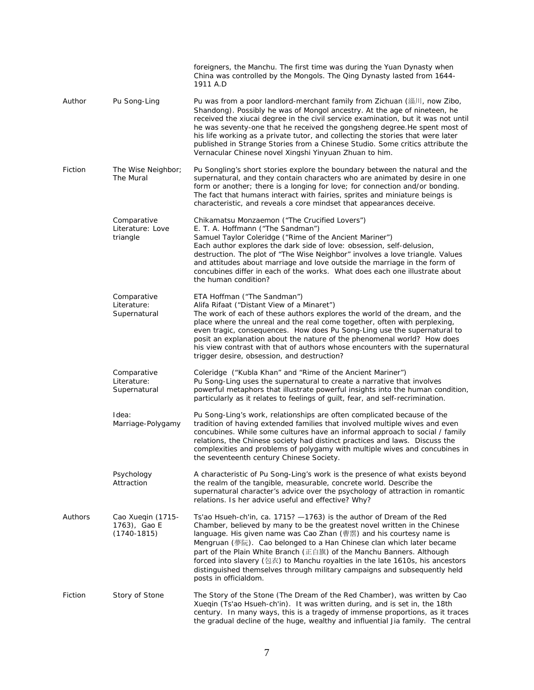|         |                                                  | foreigners, the Manchu. The first time was during the Yuan Dynasty when<br>China was controlled by the Mongols. The Qing Dynasty lasted from 1644-<br>1911 A.D                                                                                                                                                                                                                                                                                                                                                                                                   |
|---------|--------------------------------------------------|------------------------------------------------------------------------------------------------------------------------------------------------------------------------------------------------------------------------------------------------------------------------------------------------------------------------------------------------------------------------------------------------------------------------------------------------------------------------------------------------------------------------------------------------------------------|
| Author  | Pu Song-Ling                                     | Pu was from a poor landlord-merchant family from Zichuan (淄川, now Zibo,<br>Shandong). Possibly he was of Mongol ancestry. At the age of nineteen, he<br>received the xiucai degree in the civil service examination, but it was not until<br>he was seventy-one that he received the gongsheng degree. He spent most of<br>his life working as a private tutor, and collecting the stories that were later<br>published in Strange Stories from a Chinese Studio. Some critics attribute the<br>Vernacular Chinese novel Xingshi Yinyuan Zhuan to him.           |
| Fiction | The Wise Neighbor;<br>The Mural                  | Pu Songling's short stories explore the boundary between the natural and the<br>supernatural, and they contain characters who are animated by desire in one<br>form or another; there is a longing for love; for connection and/or bonding.<br>The fact that humans interact with fairies, sprites and miniature beings is<br>characteristic, and reveals a core mindset that appearances deceive.                                                                                                                                                               |
|         | Comparative<br>Literature: Love<br>triangle      | Chikamatsu Monzaemon ("The Crucified Lovers")<br>E. T. A. Hoffmann ("The Sandman")<br>Samuel Taylor Coleridge ("Rime of the Ancient Mariner")<br>Each author explores the dark side of love: obsession, self-delusion,<br>destruction. The plot of "The Wise Neighbor" involves a love triangle. Values<br>and attitudes about marriage and love outside the marriage in the form of<br>concubines differ in each of the works. What does each one illustrate about<br>the human condition?                                                                      |
|         | Comparative<br>Literature:<br>Supernatural       | ETA Hoffman ("The Sandman")<br>Alifa Rifaat ("Distant View of a Minaret")<br>The work of each of these authors explores the world of the dream, and the<br>place where the unreal and the real come together, often with perplexing,<br>even tragic, consequences. How does Pu Song-Ling use the supernatural to<br>posit an explanation about the nature of the phenomenal world? How does<br>his view contrast with that of authors whose encounters with the supernatural<br>trigger desire, obsession, and destruction?                                      |
|         | Comparative<br>Literature:<br>Supernatural       | Coleridge ("Kubla Khan" and "Rime of the Ancient Mariner")<br>Pu Song-Ling uses the supernatural to create a narrative that involves<br>powerful metaphors that illustrate powerful insights into the human condition,<br>particularly as it relates to feelings of guilt, fear, and self-recrimination.                                                                                                                                                                                                                                                         |
|         | Idea:<br>Marriage-Polygamy                       | Pu Song-Ling's work, relationships are often complicated because of the<br>tradition of having extended families that involved multiple wives and even<br>concubines. While some cultures have an informal approach to social / family<br>relations, the Chinese society had distinct practices and laws. Discuss the<br>complexities and problems of polygamy with multiple wives and concubines in<br>the seventeenth century Chinese Society.                                                                                                                 |
|         | Psychology<br>Attraction                         | A characteristic of Pu Song-Ling's work is the presence of what exists beyond<br>the realm of the tangible, measurable, concrete world. Describe the<br>supernatural character's advice over the psychology of attraction in romantic<br>relations. Is her advice useful and effective? Why?                                                                                                                                                                                                                                                                     |
| Authors | Cao Xueqin (1715-<br>1763), Gao E<br>(1740-1815) | Ts'ao Hsueh-ch'in, ca. 1715? -1763) is the author of Dream of the Red<br>Chamber, believed by many to be the greatest novel written in the Chinese<br>language. His given name was Cao Zhan (曹霑) and his courtesy name is<br>Mengruan (夢阮). Cao belonged to a Han Chinese clan which later became<br>part of the Plain White Branch (正白旗) of the Manchu Banners. Although<br>forced into slavery (包衣) to Manchu royalties in the late 1610s, his ancestors<br>distinguished themselves through military campaigns and subsequently held<br>posts in officialdom. |
| Fiction | Story of Stone                                   | The Story of the Stone (The Dream of the Red Chamber), was written by Cao<br>Xuegin (Ts'ao Hsueh-ch'in). It was written during, and is set in, the 18th<br>century. In many ways, this is a tragedy of immense proportions, as it traces<br>the gradual decline of the huge, wealthy and influential Jia family. The central                                                                                                                                                                                                                                     |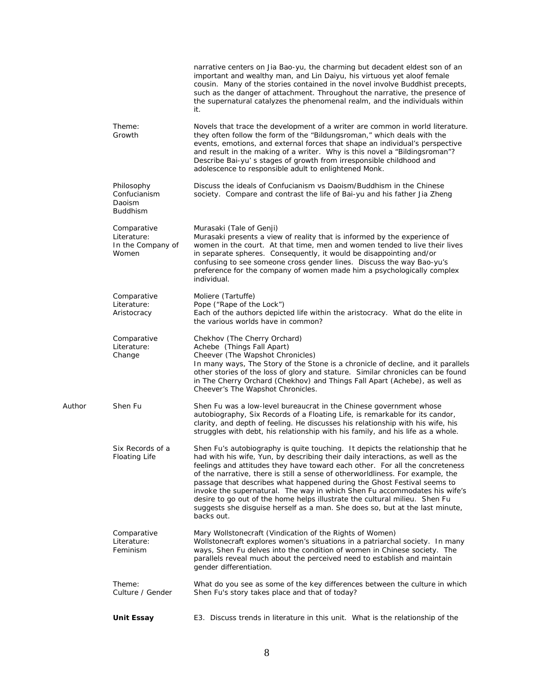|        |                                                          | narrative centers on Jia Bao-yu, the charming but decadent eldest son of an<br>important and wealthy man, and Lin Daiyu, his virtuous yet aloof female<br>cousin. Many of the stories contained in the novel involve Buddhist precepts,<br>such as the danger of attachment. Throughout the narrative, the presence of<br>the supernatural catalyzes the phenomenal realm, and the individuals within<br>it.                                                                                                                                                                                                                                                           |
|--------|----------------------------------------------------------|------------------------------------------------------------------------------------------------------------------------------------------------------------------------------------------------------------------------------------------------------------------------------------------------------------------------------------------------------------------------------------------------------------------------------------------------------------------------------------------------------------------------------------------------------------------------------------------------------------------------------------------------------------------------|
|        | Theme:<br>Growth                                         | Novels that trace the development of a writer are common in world literature.<br>they often follow the form of the "Bildungsroman," which deals with the<br>events, emotions, and external forces that shape an individual's perspective<br>and result in the making of a writer. Why is this novel a "Bildingsroman"?<br>Describe Bai-yu's stages of growth from irresponsible childhood and<br>adolescence to responsible adult to enlightened Monk.                                                                                                                                                                                                                 |
|        | Philosophy<br>Confucianism<br>Daoism<br><b>Buddhism</b>  | Discuss the ideals of Confucianism vs Daoism/Buddhism in the Chinese<br>society. Compare and contrast the life of Bai-yu and his father Jia Zheng                                                                                                                                                                                                                                                                                                                                                                                                                                                                                                                      |
|        | Comparative<br>Literature:<br>In the Company of<br>Women | Murasaki (Tale of Genji)<br>Murasaki presents a view of reality that is informed by the experience of<br>women in the court. At that time, men and women tended to live their lives<br>in separate spheres. Consequently, it would be disappointing and/or<br>confusing to see someone cross gender lines. Discuss the way Bao-yu's<br>preference for the company of women made him a psychologically complex<br>individual.                                                                                                                                                                                                                                           |
|        | Comparative<br>Literature:<br>Aristocracy                | Moliere (Tartuffe)<br>Pope ("Rape of the Lock")<br>Each of the authors depicted life within the aristocracy. What do the elite in<br>the various worlds have in common?                                                                                                                                                                                                                                                                                                                                                                                                                                                                                                |
|        | Comparative<br>Literature:<br>Change                     | Chekhov (The Cherry Orchard)<br>Achebe (Things Fall Apart)<br>Cheever (The Wapshot Chronicles)<br>In many ways, The Story of the Stone is a chronicle of decline, and it parallels<br>other stories of the loss of glory and stature. Similar chronicles can be found<br>in The Cherry Orchard (Chekhov) and Things Fall Apart (Achebe), as well as<br>Cheever's The Wapshot Chronicles.                                                                                                                                                                                                                                                                               |
| Author | Shen Fu                                                  | Shen Fu was a low-level bureaucrat in the Chinese government whose<br>autobiography, Six Records of a Floating Life, is remarkable for its candor,<br>clarity, and depth of feeling. He discusses his relationship with his wife, his<br>struggles with debt, his relationship with his family, and his life as a whole.                                                                                                                                                                                                                                                                                                                                               |
|        | Six Records of a<br><b>Floating Life</b>                 | Shen Fu's autobiography is quite touching. It depicts the relationship that he<br>had with his wife, Yun, by describing their daily interactions, as well as the<br>feelings and attitudes they have toward each other. For all the concreteness<br>of the narrative, there is still a sense of otherworldliness. For example, the<br>passage that describes what happened during the Ghost Festival seems to<br>invoke the supernatural. The way in which Shen Fu accommodates his wife's<br>desire to go out of the home helps illustrate the cultural milieu. Shen Fu<br>suggests she disguise herself as a man. She does so, but at the last minute,<br>backs out. |
|        | Comparative<br>Literature:<br>Feminism                   | Mary Wollstonecraft (Vindication of the Rights of Women)<br>Wollstonecraft explores women's situations in a patriarchal society. In many<br>ways, Shen Fu delves into the condition of women in Chinese society. The<br>parallels reveal much about the perceived need to establish and maintain<br>gender differentiation.                                                                                                                                                                                                                                                                                                                                            |
|        | Theme:<br>Culture / Gender                               | What do you see as some of the key differences between the culture in which<br>Shen Fu's story takes place and that of today?                                                                                                                                                                                                                                                                                                                                                                                                                                                                                                                                          |
|        | <b>Unit Essay</b>                                        | E3. Discuss trends in literature in this unit. What is the relationship of the                                                                                                                                                                                                                                                                                                                                                                                                                                                                                                                                                                                         |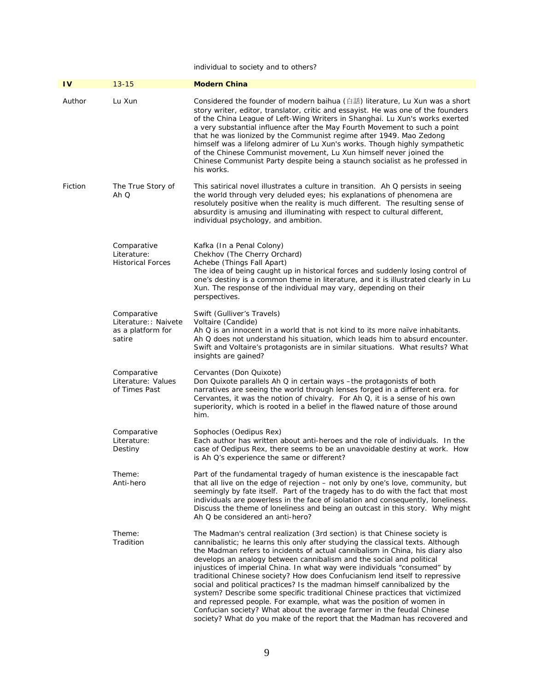individual to society and to others?

| $\mathbf{IV}$ | $13 - 15$                                                          | <b>Modern China</b>                                                                                                                                                                                                                                                                                                                                                                                                                                                                                                                                                                                                                                                                                                                                                                                                                                                           |
|---------------|--------------------------------------------------------------------|-------------------------------------------------------------------------------------------------------------------------------------------------------------------------------------------------------------------------------------------------------------------------------------------------------------------------------------------------------------------------------------------------------------------------------------------------------------------------------------------------------------------------------------------------------------------------------------------------------------------------------------------------------------------------------------------------------------------------------------------------------------------------------------------------------------------------------------------------------------------------------|
| Author        | Lu Xun                                                             | Considered the founder of modern baihua (白話) literature, Lu Xun was a short<br>story writer, editor, translator, critic and essayist. He was one of the founders<br>of the China League of Left-Wing Writers in Shanghai. Lu Xun's works exerted<br>a very substantial influence after the May Fourth Movement to such a point<br>that he was lionized by the Communist regime after 1949. Mao Zedong<br>himself was a lifelong admirer of Lu Xun's works. Though highly sympathetic<br>of the Chinese Communist movement, Lu Xun himself never joined the<br>Chinese Communist Party despite being a staunch socialist as he professed in<br>his works.                                                                                                                                                                                                                      |
| Fiction       | The True Story of<br>Ah Q                                          | This satirical novel illustrates a culture in transition. Ah Q persists in seeing<br>the world through very deluded eyes; his explanations of phenomena are<br>resolutely positive when the reality is much different. The resulting sense of<br>absurdity is amusing and illuminating with respect to cultural different,<br>individual psychology, and ambition.                                                                                                                                                                                                                                                                                                                                                                                                                                                                                                            |
|               | Comparative<br>Literature:<br><b>Historical Forces</b>             | Kafka (In a Penal Colony)<br>Chekhov (The Cherry Orchard)<br>Achebe (Things Fall Apart)<br>The idea of being caught up in historical forces and suddenly losing control of<br>one's destiny is a common theme in literature, and it is illustrated clearly in Lu<br>Xun. The response of the individual may vary, depending on their<br>perspectives.                                                                                                                                                                                                                                                                                                                                                                                                                                                                                                                         |
|               | Comparative<br>Literature:: Naivete<br>as a platform for<br>satire | Swift (Gulliver's Travels)<br>Voltaire (Candide)<br>Ah $Q$ is an innocent in a world that is not kind to its more naïve inhabitants.<br>Ah Q does not understand his situation, which leads him to absurd encounter.<br>Swift and Voltaire's protagonists are in similar situations. What results? What<br>insights are gained?                                                                                                                                                                                                                                                                                                                                                                                                                                                                                                                                               |
|               | Comparative<br>Literature: Values<br>of Times Past                 | Cervantes (Don Quixote)<br>Don Quixote parallels Ah Q in certain ways -the protagonists of both<br>narratives are seeing the world through lenses forged in a different era. for<br>Cervantes, it was the notion of chivalry. For Ah Q, it is a sense of his own<br>superiority, which is rooted in a belief in the flawed nature of those around<br>him.                                                                                                                                                                                                                                                                                                                                                                                                                                                                                                                     |
|               | Comparative<br>Literature:<br>Destiny                              | Sophocles (Oedipus Rex)<br>Each author has written about anti-heroes and the role of individuals. In the<br>case of Oedipus Rex, there seems to be an unavoidable destiny at work. How<br>is Ah Q's experience the same or different?                                                                                                                                                                                                                                                                                                                                                                                                                                                                                                                                                                                                                                         |
|               | Theme:<br>Anti-hero                                                | Part of the fundamental tragedy of human existence is the inescapable fact<br>that all live on the edge of rejection - not only by one's love, community, but<br>seemingly by fate itself. Part of the tragedy has to do with the fact that most<br>individuals are powerless in the face of isolation and consequently, loneliness.<br>Discuss the theme of loneliness and being an outcast in this story. Why might<br>Ah Q be considered an anti-hero?                                                                                                                                                                                                                                                                                                                                                                                                                     |
|               | Theme:<br>Tradition                                                | The Madman's central realization (3rd section) is that Chinese society is<br>cannibalistic; he learns this only after studying the classical texts. Although<br>the Madman refers to incidents of actual cannibalism in China, his diary also<br>develops an analogy between cannibalism and the social and political<br>injustices of imperial China. In what way were individuals "consumed" by<br>traditional Chinese society? How does Confucianism lend itself to repressive<br>social and political practices? Is the madman himself cannibalized by the<br>system? Describe some specific traditional Chinese practices that victimized<br>and repressed people. For example, what was the position of women in<br>Confucian society? What about the average farmer in the feudal Chinese<br>society? What do you make of the report that the Madman has recovered and |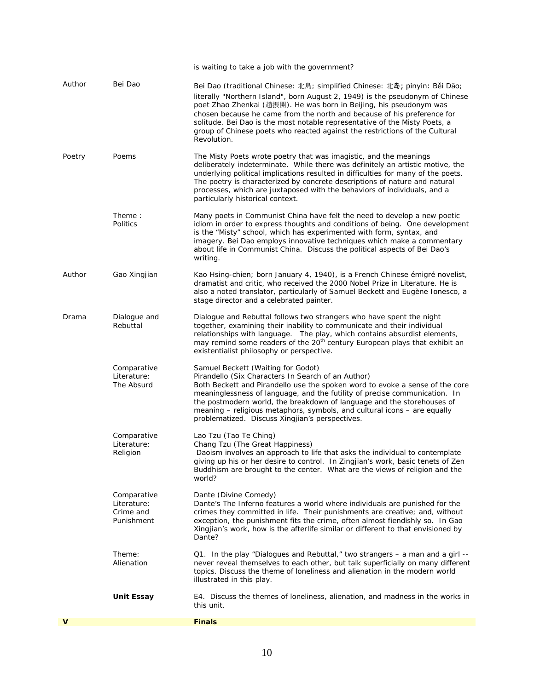|        |                                                       | is waiting to take a job with the government?                                                                                                                                                                                                                                                                                                                                                                                                                                            |
|--------|-------------------------------------------------------|------------------------------------------------------------------------------------------------------------------------------------------------------------------------------------------------------------------------------------------------------------------------------------------------------------------------------------------------------------------------------------------------------------------------------------------------------------------------------------------|
| Author | Bei Dao                                               | Bei Dao (traditional Chinese: 北島; simplified Chinese: 北島; pinyin: Běi Dǎo;<br>literally "Northern Island", born August 2, 1949) is the pseudonym of Chinese<br>poet Zhao Zhenkai (趙振開). He was born in Beijing, his pseudonym was<br>chosen because he came from the north and because of his preference for<br>solitude. Bei Dao is the most notable representative of the Misty Poets, a<br>group of Chinese poets who reacted against the restrictions of the Cultural<br>Revolution. |
| Poetry | Poems                                                 | The Misty Poets wrote poetry that was imagistic, and the meanings<br>deliberately indeterminate. While there was definitely an artistic motive, the<br>underlying political implications resulted in difficulties for many of the poets.<br>The poetry is characterized by concrete descriptions of nature and natural<br>processes, which are juxtaposed with the behaviors of individuals, and a<br>particularly historical context.                                                   |
|        | Theme:<br>Politics                                    | Many poets in Communist China have felt the need to develop a new poetic<br>idiom in order to express thoughts and conditions of being. One development<br>is the "Misty" school, which has experimented with form, syntax, and<br>imagery. Bei Dao employs innovative techniques which make a commentary<br>about life in Communist China. Discuss the political aspects of Bei Dao's<br>writing.                                                                                       |
| Author | Gao Xingjian                                          | Kao Hsing-chien; born January 4, 1940), is a French Chinese émigré novelist,<br>dramatist and critic, who received the 2000 Nobel Prize in Literature. He is<br>also a noted translator, particularly of Samuel Beckett and Eugène Ionesco, a<br>stage director and a celebrated painter.                                                                                                                                                                                                |
| Drama  | Dialogue and<br>Rebuttal                              | Dialogue and Rebuttal follows two strangers who have spent the night<br>together, examining their inability to communicate and their individual<br>relationships with language. The play, which contains absurdist elements,<br>may remind some readers of the 20 <sup>th</sup> century European plays that exhibit an<br>existentialist philosophy or perspective.                                                                                                                      |
|        | Comparative<br>Literature:<br>The Absurd              | Samuel Beckett (Waiting for Godot)<br>Pirandello (Six Characters In Search of an Author)<br>Both Beckett and Pirandello use the spoken word to evoke a sense of the core<br>meaninglessness of language, and the futility of precise communication. In<br>the postmodern world, the breakdown of language and the storehouses of<br>meaning - religious metaphors, symbols, and cultural icons - are equally<br>problematized. Discuss Xingjian's perspectives.                          |
|        | Comparative<br>Literature:<br>Religion                | Lao Tzu (Tao Te Ching)<br>Chang Tzu (The Great Happiness)<br>Daoism involves an approach to life that asks the individual to contemplate<br>giving up his or her desire to control. In Zingjian's work, basic tenets of Zen<br>Buddhism are brought to the center. What are the views of religion and the<br>world?                                                                                                                                                                      |
|        | Comparative<br>Literature:<br>Crime and<br>Punishment | Dante (Divine Comedy)<br>Dante's The Inferno features a world where individuals are punished for the<br>crimes they committed in life. Their punishments are creative; and, without<br>exception, the punishment fits the crime, often almost fiendishly so. In Gao<br>Xingjian's work, how is the afterlife similar or different to that envisioned by<br>Dante?                                                                                                                        |
|        | Theme:<br>Alienation                                  | Q1. In the play "Dialogues and Rebuttal," two strangers – a man and a girl --<br>never reveal themselves to each other, but talk superficially on many different<br>topics. Discuss the theme of loneliness and alienation in the modern world<br>illustrated in this play.                                                                                                                                                                                                              |
|        | <b>Unit Essay</b>                                     | E4. Discuss the themes of loneliness, alienation, and madness in the works in<br>this unit.                                                                                                                                                                                                                                                                                                                                                                                              |
| v      |                                                       | <b>Finals</b>                                                                                                                                                                                                                                                                                                                                                                                                                                                                            |